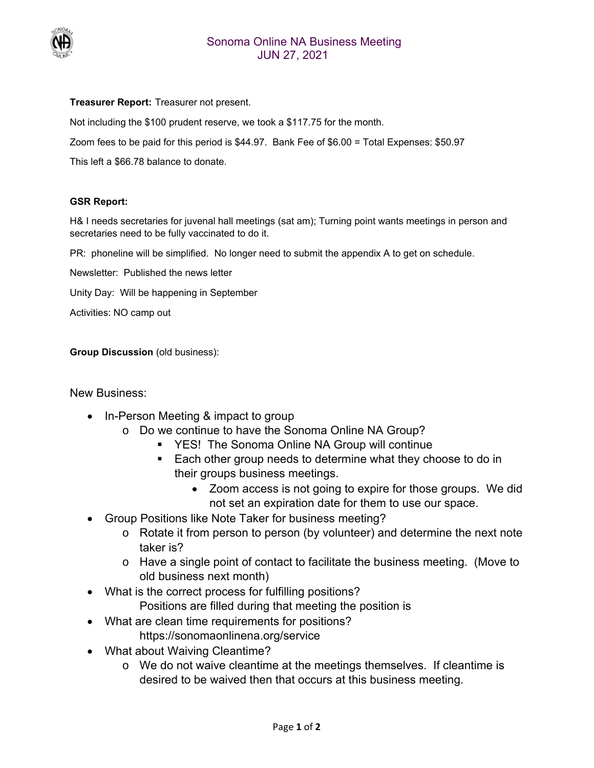

## **Treasurer Report:** Treasurer not present.

Not including the \$100 prudent reserve, we took a \$117.75 for the month.

Zoom fees to be paid for this period is \$44.97. Bank Fee of \$6.00 = Total Expenses: \$50.97

This left a \$66.78 balance to donate.

## **GSR Report:**

H& I needs secretaries for juvenal hall meetings (sat am); Turning point wants meetings in person and secretaries need to be fully vaccinated to do it.

PR: phoneline will be simplified. No longer need to submit the appendix A to get on schedule.

Newsletter: Published the news letter

Unity Day: Will be happening in September

Activities: NO camp out

**Group Discussion** (old business):

New Business:

- In-Person Meeting & impact to group
	- o Do we continue to have the Sonoma Online NA Group?
		- YES! The Sonoma Online NA Group will continue
		- Each other group needs to determine what they choose to do in their groups business meetings.
			- Zoom access is not going to expire for those groups. We did not set an expiration date for them to use our space.
- Group Positions like Note Taker for business meeting?
	- o Rotate it from person to person (by volunteer) and determine the next note taker is?
	- o Have a single point of contact to facilitate the business meeting. (Move to old business next month)
- What is the correct process for fulfilling positions?
	- Positions are filled during that meeting the position is
- What are clean time requirements for positions? https://sonomaonlinena.org/service
- What about Waiving Cleantime?
	- o We do not waive cleantime at the meetings themselves. If cleantime is desired to be waived then that occurs at this business meeting.